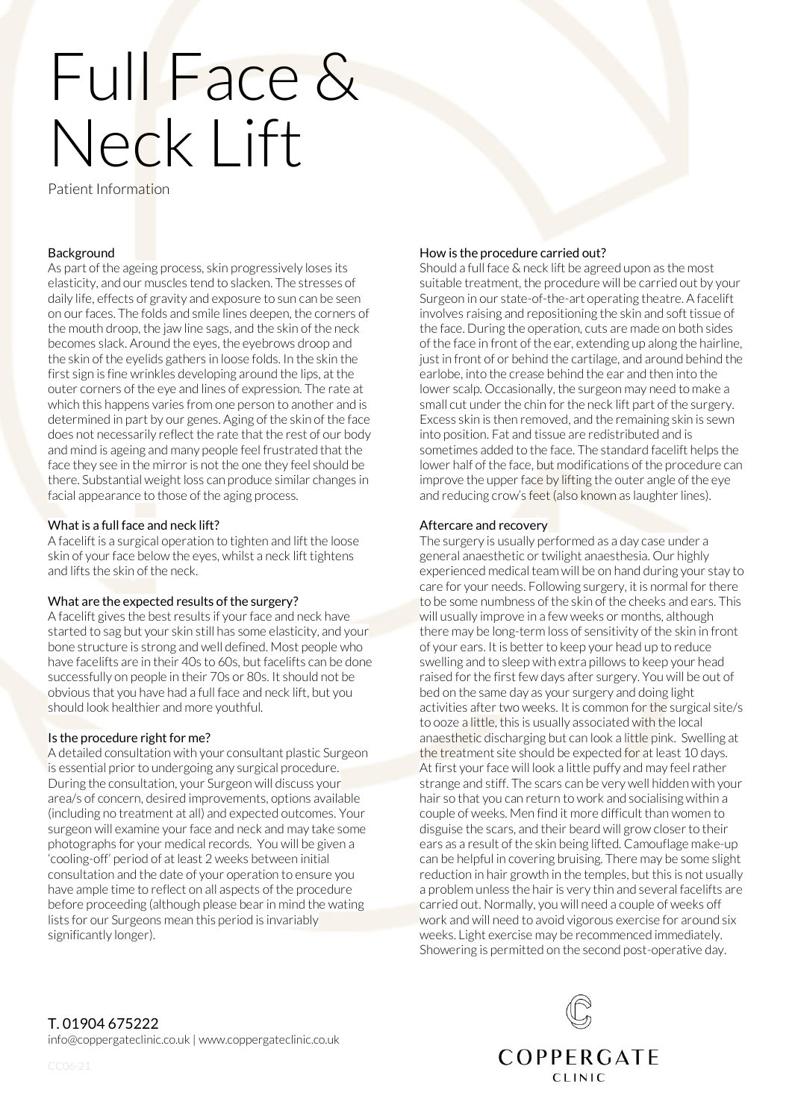# Full Face & Neck Lift

Patient Information

# Background

As part of the ageing process, skin progressively loses its elasticity, and our muscles tend to slacken. The stresses of daily life, effects of gravity and exposure to sun can be seen on our faces. The folds and smile lines deepen, the corners of the mouth droop, the jaw line sags, and the skin of the neck becomes slack. Around the eyes, the eyebrows droop and the skin of the eyelids gathers in loose folds. In the skin the first sign is fine wrinkles developing around the lips, at the outer corners of the eye and lines of expression. The rate at which this happens varies from one person to another and is determined in part by our genes. Aging of the skin of the face does not necessarily reflect the rate that the rest of our body and mind is ageing and many people feel frustrated that the face they see in the mirror is not the one they feel should be there. Substantial weight loss can produce similar changes in facial appearance to those of the aging process.

# What is a full face and neck lift?

A facelift is a surgical operation to tighten and lift the loose skin of your face below the eyes, whilst a neck lift tightens and lifts the skin of the neck.

# What are the expected results of the surgery?

A facelift gives the best results if your face and neck have started to sag but your skin still has some elasticity, and your bone structure is strong and well defined. Most people who have facelifts are in their 40s to 60s, but facelifts can be done successfully on people in their 70s or 80s. It should not be obvious that you have had a full face and neck lift, but you should look healthier and more youthful.

# Is the procedure right for me?

A detailed consultation with your consultant plastic Surgeon is essential prior to undergoing any surgical procedure. During the consultation, your Surgeon will discuss your area/s of concern, desired improvements, options available (including no treatment at all) and expected outcomes. Your surgeon will examine your face and neck and may take some photographs for your medical records. You will be given a 'cooling-off' period of at least 2 weeks between initial consultation and the date of your operation to ensure you have ample time to reflect on all aspects of the procedure before proceeding (although please bear in mind the wating lists for our Surgeons mean this period is invariably significantly longer).

# How is the procedure carried out?

Should a full face & neck lift be agreed upon as the most suitable treatment, the procedure will be carried out by your Surgeon in our state-of-the-art operating theatre. A facelift involves raising and repositioning the skin and soft tissue of the face. During the operation, cuts are made on both sides of the face in front of the ear, extending up along the hairline, just in front of or behind the cartilage, and around behind the earlobe, into the crease behind the ear and then into the lower scalp. Occasionally, the surgeon may need to make a small cut under the chin for the neck lift part of the surgery. Excess skin is then removed, and the remaining skin is sewn into position. Fat and tissue are redistributed and is sometimes added to the face. The standard facelift helps the lower half of the face, but modifications of the procedure can improve the upper face by lifting the outer angle of the eye and reducing crow's feet (also known as laughter lines).

### Aftercare and recovery

The surgery is usually performed as a day case under a general anaesthetic or twilight anaesthesia. Our highly experienced medical team will be on hand during your stay to care for your needs. Following surgery, it is normal for there to be some numbness of the skin of the cheeks and ears. This will usually improve in a few weeks or months, although there may be long-term loss of sensitivity of the skin in front of your ears. It is better to keep your head up to reduce swelling and to sleep with extra pillows to keep your head raised for the first few days after surgery. You will be out of bed on the same day as your surgery and doing light activities after two weeks. It is common for the surgical site/s to ooze a little, this is usually associated with the local anaesthetic discharging but can look a little pink. Swelling at the treatment site should be expected for at least 10 days. At first your face will look a little puffy and may feel rather strange and stiff. The scars can be very well hidden with your hair so that you can return to work and socialising within a couple of weeks. Men find it more difficult than women to disguise the scars, and their beard will grow closer to their ears as a result of the skin being lifted. Camouflage make-up can be helpful in covering bruising. There may be some slight reduction in hair growth in the temples, but this is not usually a problem unless the hair is very thin and several facelifts are carried out. Normally, you will need a couple of weeks off work and will need to avoid vigorous exercise for around six weeks. Light exercise may be recommenced immediately. Showering is permitted on the second post-operative day.

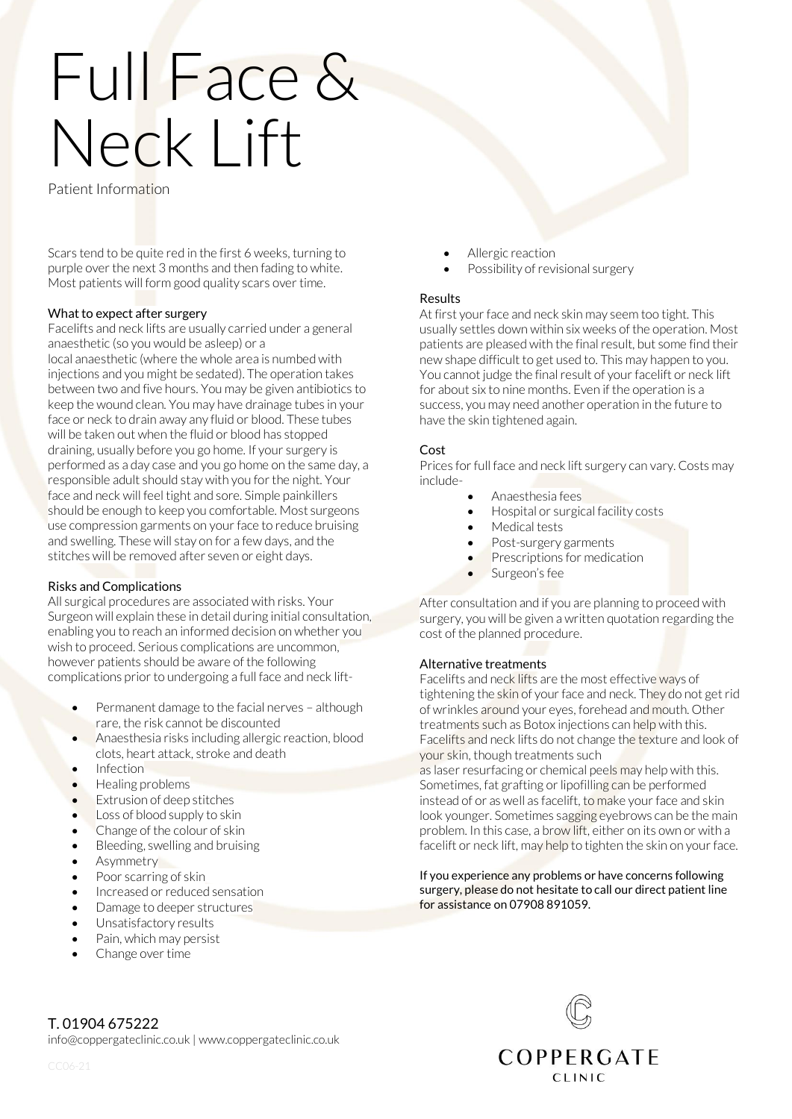# Full Face & Neck Lift

Patient Information

Scars tend to be quite red in the first 6 weeks, turning to purple over the next 3 months and then fading to white. Most patients will form good quality scars over time.

# What to expect after surgery

Facelifts and neck lifts are usually carried under a general anaesthetic (so you would be asleep) or a local anaesthetic (where the whole area is numbed with injections and you might be sedated). The operation takes between two and five hours. You may be given antibiotics to keep the wound clean. You may have drainage tubes in your face or neck to drain away any fluid or blood. These tubes will be taken out when the fluid or blood has stopped draining, usually before you go home. If your surgery is performed as a day case and you go home on the same day, a responsible adult should stay with you for the night. Your face and neck will feel tight and sore. Simple painkillers should be enough to keep you comfortable. Most surgeons use compression garments on your face to reduce bruising and swelling. These will stay on for a few days, and the stitches will be removed after seven or eight days.

# Risks and Complications

All surgical procedures are associated with risks. Your Surgeon will explain these in detail during initial consultation, enabling you to reach an informed decision on whether you wish to proceed. Serious complications are uncommon, however patients should be aware of the following complications prior to undergoing a full face and neck lift-

- Permanent damage to the facial nerves although rare, the risk cannot be discounted
- Anaesthesia risks including allergic reaction, blood clots, heart attack, stroke and death
- Infection
- Healing problems
- Extrusion of deep stitches
- Loss of blood supply to skin
- Change of the colour of skin
- Bleeding, swelling and bruising
- Asymmetry
- Poor scarring of skin
- Increased or reduced sensation
- Damage to deeper structures
- Unsatisfactory results
- Pain, which may persist
- Change over time
- Allergic reaction
- Possibility of revisional surgery

# Results

At first your face and neck skin may seem too tight. This usually settles down within six weeks of the operation. Most patients are pleased with the final result, but some find their new shape difficult to get used to. This may happen to you. You cannot judge the final result of your facelift or neck lift for about six to nine months. Even if the operation is a success, you may need another operation in the future to have the skin tightened again.

# Cost

Prices for full face and neck lift surgery can vary. Costs may include-

- Anaesthesia fees
- Hospital or surgical facility costs
- Medical tests
- Post-surgery garments
- Prescriptions for medication
- Surgeon's fee

After consultation and if you are planning to proceed with surgery, you will be given a written quotation regarding the cost of the planned procedure.

# Alternative treatments

Facelifts and neck lifts are the most effective ways of tightening the skin of your face and neck. They do not get rid of wrinkles around your eyes, forehead and mouth. Other treatments such as Botox injections can help with this. Facelifts and neck lifts do not change the texture and look of your skin, though treatments such

as laser resurfacing or chemical peels may help with this. Sometimes, fat grafting or lipofilling can be performed instead of or as well as facelift, to make your face and skin look younger. Sometimes sagging eyebrows can be the main problem. In this case, a brow lift, either on its own or with a facelift or neck lift, may help to tighten the skin on your face.

### If you experience any problems or have concerns following surgery, please do not hesitate to call our direct patient line for assistance on 07908 891059.